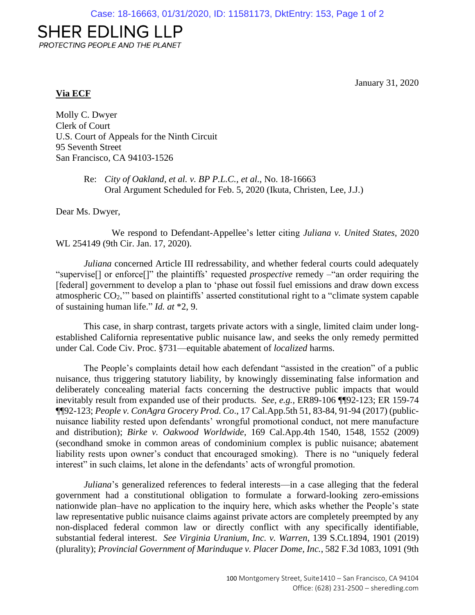## **SHER EDLING LLP**

PROTECTING PEOPLE AND THE PLANET

January 31, 2020

## **Via ECF**

Molly C. Dwyer Clerk of Court U.S. Court of Appeals for the Ninth Circuit 95 Seventh Street San Francisco, CA 94103-1526

> Re: *City of Oakland, et al. v. BP P.L.C., et al.*, No. 18-16663 Oral Argument Scheduled for Feb. 5, 2020 (Ikuta, Christen, Lee, J.J.)

Dear Ms. Dwyer,

We respond to Defendant-Appellee's letter citing *Juliana v. United States*, 2020 WL 254149 (9th Cir. Jan. 17, 2020).

*Juliana* concerned Article III redressability, and whether federal courts could adequately "supervise[] or enforce[]" the plaintiffs' requested *prospective* remedy –"an order requiring the [federal] government to develop a plan to 'phase out fossil fuel emissions and draw down excess atmospheric CO2,'" based on plaintiffs' asserted constitutional right to a "climate system capable of sustaining human life." *Id. at* \*2, 9.

This case, in sharp contrast, targets private actors with a single, limited claim under longestablished California representative public nuisance law, and seeks the only remedy permitted under Cal. Code Civ. Proc. §731—equitable abatement of *localized* harms.

The People's complaints detail how each defendant "assisted in the creation" of a public nuisance, thus triggering statutory liability, by knowingly disseminating false information and deliberately concealing material facts concerning the destructive public impacts that would inevitably result from expanded use of their products. *See, e.g.,* ER89-106 ¶¶92-123; ER 159-74 ¶¶92-123; *People v. ConAgra Grocery Prod. Co*., 17 Cal.App.5th 51, 83-84, 91-94 (2017) (publicnuisance liability rested upon defendants' wrongful promotional conduct, not mere manufacture and distribution); *Birke v. Oakwood Worldwide*, 169 Cal.App.4th 1540, 1548, 1552 (2009) (secondhand smoke in common areas of condominium complex is public nuisance; abatement liability rests upon owner's conduct that encouraged smoking). There is no "uniquely federal interest" in such claims, let alone in the defendants' acts of wrongful promotion.

*Juliana*'s generalized references to federal interests—in a case alleging that the federal government had a constitutional obligation to formulate a forward-looking zero-emissions nationwide plan–have no application to the inquiry here, which asks whether the People's state law representative public nuisance claims against private actors are completely preempted by any non-displaced federal common law or directly conflict with any specifically identifiable, substantial federal interest. *See Virginia Uranium, Inc. v. Warren*, 139 S.Ct.1894, 1901 (2019) (plurality); *Provincial Government of Marinduque v. Placer Dome, Inc.*, 582 F.3d 1083, 1091 (9th